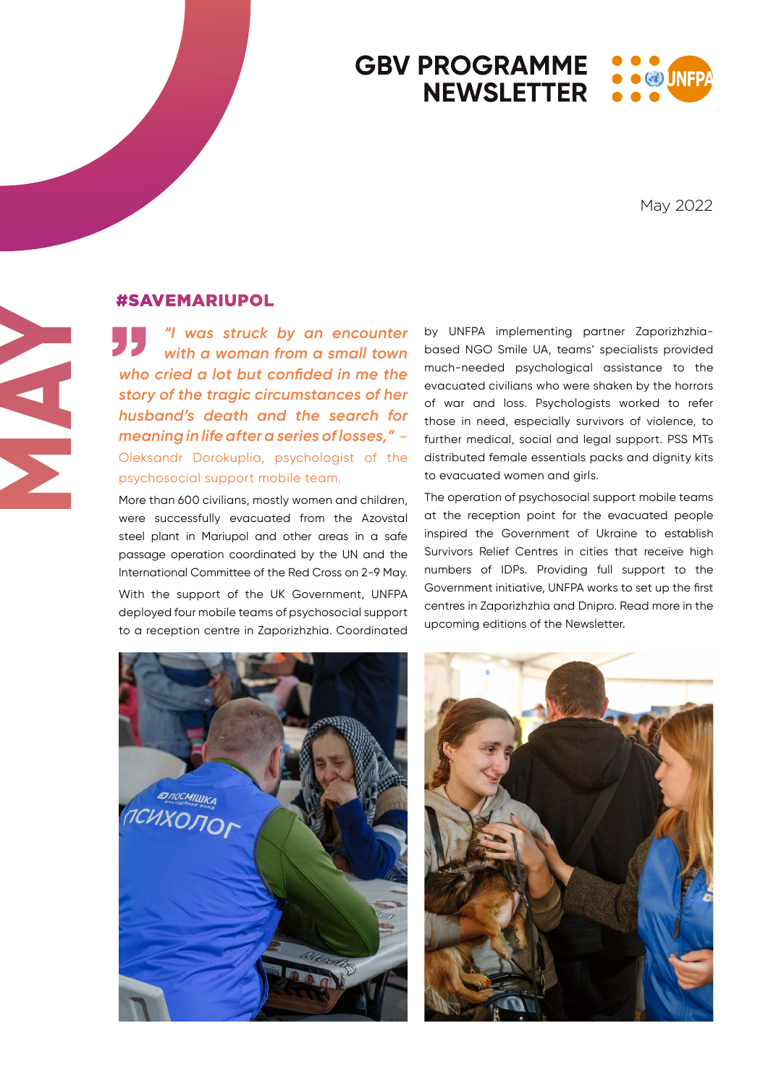### **GBV PROGRAMME**  $\bullet$  (2) UNE **NEWSLETTER**

May 2022

# **MAY**

# #SAVEMARIUPOL

*"I was struck by an encounter with a woman from a small town who cried a lot but confided in me the story of the tragic circumstances of her husband's death and the search for meaning in life after a series of losses,"* – Oleksandr Dorokuplia, psychologist of the psychosocial support mobile team.

More than 600 civilians, mostly women and children, were successfully evacuated from the Azovstal steel plant in Mariupol and other areas in a safe passage operation coordinated by the UN and the International Committee of the Red Cross on 2-9 May. With the support of the UK Government, UNFPA deployed four mobile teams of psychosocial support to a reception centre in Zaporizhzhia. Coordinated

by UNFPA implementing partner Zaporizhzhiabased NGO Smile UA, teams' specialists provided much-needed psychological assistance to the evacuated civilians who were shaken by the horrors of war and loss. Psychologists worked to refer those in need, especially survivors of violence, to further medical, social and legal support. PSS MTs distributed female essentials packs and dignity kits to evacuated women and girls.

The operation of psychosocial support mobile teams at the reception point for the evacuated people inspired the Government of Ukraine to establish Survivors Relief Centres in cities that receive high numbers of IDPs. Providing full support to the Government initiative, UNFPA works to set up the first centres in Zaporizhzhia and Dnipro. Read more in the upcoming editions of the Newsletter.



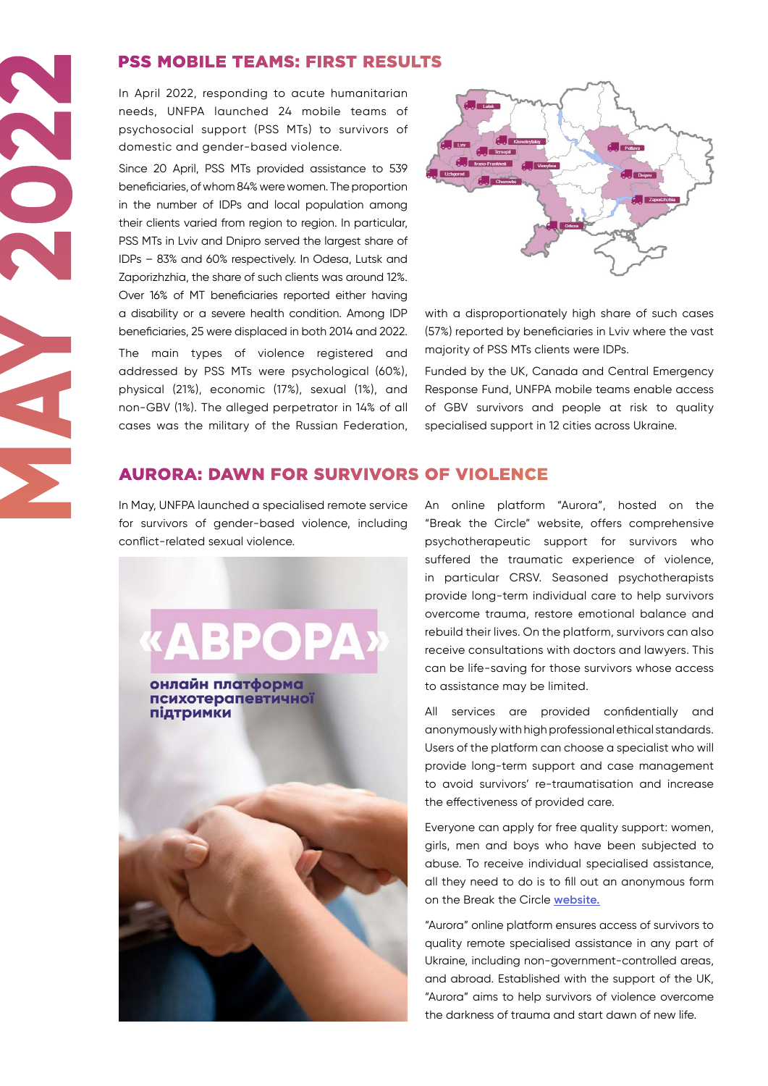## PSS MOBILE TEAMS: FIRST RESULTS

In April 2022, responding to acute humanitarian needs, UNFPA launched 24 mobile teams of psychosocial support (PSS MTs) to survivors of domestic and gender-based violence.

Since 20 April, PSS MTs provided assistance to 539 beneficiaries, of whom 84% were women. The proportion in the number of IDPs and local population among their clients varied from region to region. In particular, PSS MTs in Lviv and Dnipro served the largest share of IDPs – 83% and 60% respectively. In Odesa, Lutsk and Zaporizhzhia, the share of such clients was around 12%. Over 16% of MT beneficiaries reported either having a disability or a severe health condition. Among IDP beneficiaries, 25 were displaced in both 2014 and 2022. The main types of violence registered and addressed by PSS MTs were psychological (60%), physical (21%), economic (17%), sexual (1%), and non-GBV (1%). The alleged perpetrator in 14% of all cases was the military of the Russian Federation, **PSS MOBILE TEAMS: FIRST RESU**<br>
In April 2022, responding to cate burnantitarian mental and generalised remote that the metallity of a specific specific response of the smaller beneficialised viewer services in the method



with a disproportionately high share of such cases (57%) reported by beneficiaries in Lviv where the vast majority of PSS MTs clients were IDPs.

Funded by the UK, Canada and Central Emergency Response Fund, UNFPA mobile teams enable access of GBV survivors and people at risk to quality specialised support in 12 cities across Ukraine.

### AURORA: DAWN FOR SURVIVORS OF VIOLENCE

for survivors of gender-based violence, including conflict-related sexual violence.



An online platform "Aurora", hosted on the "Break the Circle" website, offers comprehensive psychotherapeutic support for survivors who suffered the traumatic experience of violence, in particular CRSV. Seasoned psychotherapists provide long-term individual care to help survivors overcome trauma, restore emotional balance and rebuild their lives. On the platform, survivors can also receive consultations with doctors and lawyers. This can be life-saving for those survivors whose access to assistance may be limited.

All services are provided confidentially and anonymously with high professional ethical standards. Users of the platform can choose a specialist who will provide long-term support and case management to avoid survivors' re-traumatisation and increase the effectiveness of provided care.

Everyone can apply for free quality support: women, girls, men and boys who have been subjected to abuse. To receive individual specialised assistance, all they need to do is to fill out an anonymous form on the Break the Circle **[website.](https://rozirvykolo.org/mental-support/)**

"Aurora" online platform ensures access of survivors to quality remote specialised assistance in any part of Ukraine, including non-government-controlled areas, and abroad. Established with the support of the UK, "Aurora" aims to help survivors of violence overcome the darkness of trauma and start dawn of new life.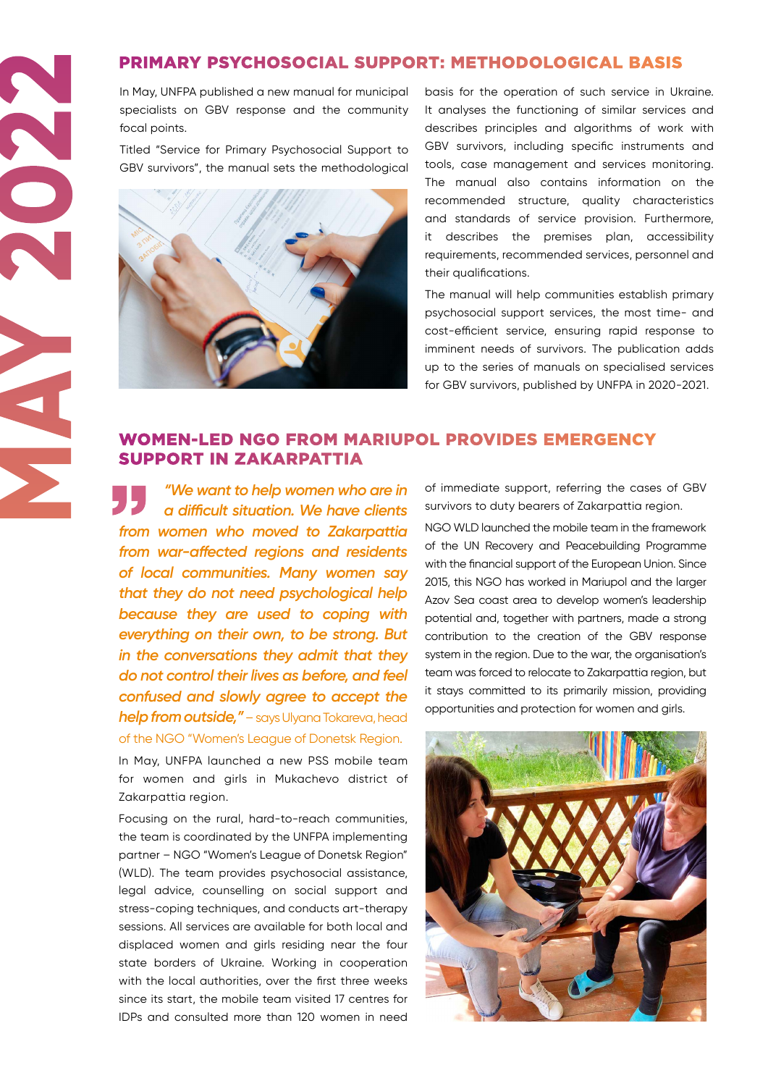## PRIMARY PSYCHOSOCIAL SUPPORT: METHODOLOGICAL BASIS

In May, UNFPA published a new manual for municipal specialists on GBV response and the community focal points.

Titled "Service for Primary Psychosocial Support to GBV survivors", the manual sets the methodological



**MAY 2022** 

basis for the operation of such service in Ukraine. It analyses the functioning of similar services and describes principles and algorithms of work with GBV survivors, including specific instruments and tools, case management and services monitoring. The manual also contains information on the recommended structure, quality characteristics and standards of service provision. Furthermore, it describes the premises plan, accessibility requirements, recommended services, personnel and their qualifications.

The manual will help communities establish primary psychosocial support services, the most time- and cost-efficient service, ensuring rapid response to imminent needs of survivors. The publication adds up to the series of manuals on specialised services for GBV survivors, published by UNFPA in 2020-2021.

### WOMEN-LED NGO FROM MARIUPOL PROVIDES EMERGENCY SUPPORT IN ZAKARPATTIA

*"We want to help women who are in a difficult situation. We have clients from women who moved to Zakarpattia from war-affected regions and residents of local communities. Many women say that they do not need psychological help because they are used to coping with everything on their own, to be strong. But in the conversations they admit that they do not control their lives as before, and feel confused and slowly agree to accept the help from outside,"*– says Ulyana Tokareva, head of the NGO "Women's League of Donetsk Region.

In May, UNFPA launched a new PSS mobile team for women and girls in Mukachevo district of Zakarpattia region.

Focusing on the rural, hard-to-reach communities, the team is coordinated by the UNFPA implementing partner – NGO "Women's League of Donetsk Region" (WLD). The team provides psychosocial assistance, legal advice, counselling on social support and stress-coping techniques, and conducts art-therapy sessions. All services are available for both local and displaced women and girls residing near the four state borders of Ukraine. Working in cooperation with the local authorities, over the first three weeks since its start, the mobile team visited 17 centres for IDPs and consulted more than 120 women in need

of immediate support, referring the cases of GBV survivors to duty bearers of Zakarpattia region.

NGO WLD launched the mobile team in the framework of the UN Recovery and Peacebuilding Programme with the financial support of the European Union. Since 2015, this NGO has worked in Mariupol and the larger Azov Sea coast area to develop women's leadership potential and, together with partners, made a strong contribution to the creation of the GBV response system in the region. Due to the war, the organisation's team was forced to relocate to Zakarpattia region, but it stays committed to its primarily mission, providing opportunities and protection for women and girls.